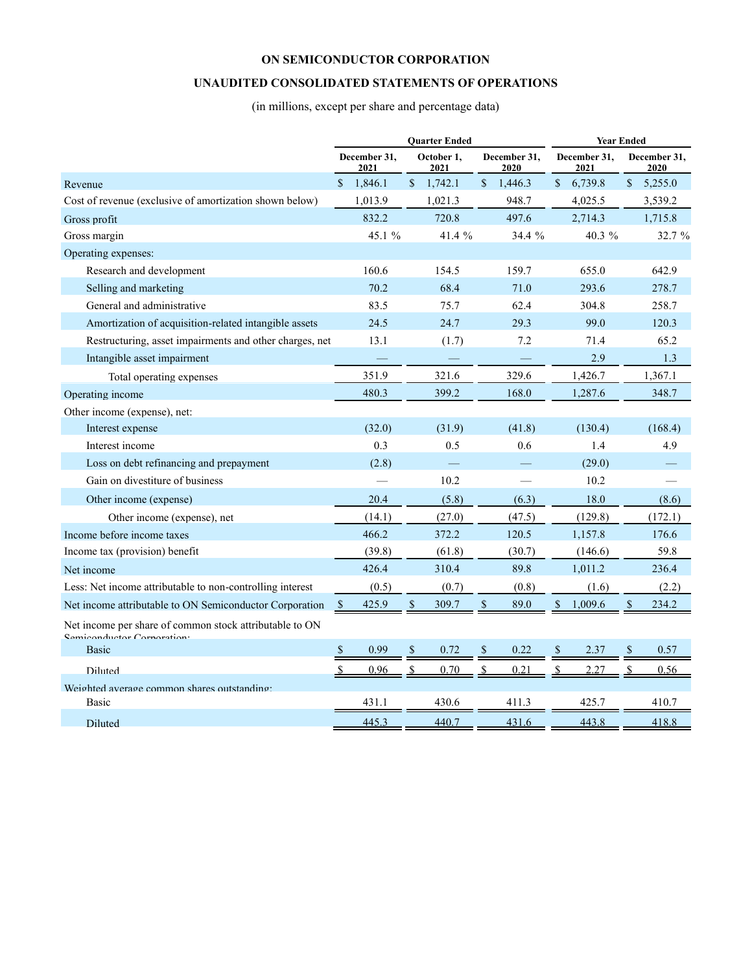### **UNAUDITED CONSOLIDATED STATEMENTS OF OPERATIONS**

(in millions, except per share and percentage data)

|                                                                                       |               |                      |              | <b>Quarter Ended</b> |              | <b>Year Ended</b>    |                      |         |             |                      |
|---------------------------------------------------------------------------------------|---------------|----------------------|--------------|----------------------|--------------|----------------------|----------------------|---------|-------------|----------------------|
|                                                                                       |               | December 31,<br>2021 |              | October 1,<br>2021   |              | December 31,<br>2020 | December 31,<br>2021 |         |             | December 31,<br>2020 |
| Revenue                                                                               | $\mathcal{S}$ | 1,846.1              | \$           | 1,742.1              | \$           | 1,446.3              | $\mathbb{S}$         | 6,739.8 | \$          | 5,255.0              |
| Cost of revenue (exclusive of amortization shown below)                               |               | 1,013.9              |              | 1,021.3              |              | 948.7                |                      | 4,025.5 |             | 3,539.2              |
| Gross profit                                                                          |               | 832.2                |              | 720.8                |              | 497.6                |                      | 2,714.3 |             | 1,715.8              |
| Gross margin                                                                          |               | 45.1 %               |              | 41.4 %               |              | 34.4 %               |                      | 40.3 %  |             | 32.7 %               |
| Operating expenses:                                                                   |               |                      |              |                      |              |                      |                      |         |             |                      |
| Research and development                                                              |               | 160.6                |              | 154.5                |              | 159.7                |                      | 655.0   |             | 642.9                |
| Selling and marketing                                                                 |               | 70.2                 |              | 68.4                 |              | 71.0                 |                      | 293.6   |             | 278.7                |
| General and administrative                                                            |               | 83.5                 |              | 75.7                 |              | 62.4                 |                      | 304.8   |             | 258.7                |
| Amortization of acquisition-related intangible assets                                 |               | 24.5                 |              | 24.7                 |              | 29.3                 |                      | 99.0    |             | 120.3                |
| Restructuring, asset impairments and other charges, net                               |               | 13.1                 |              | (1.7)                |              | 7.2                  |                      | 71.4    |             | 65.2                 |
| Intangible asset impairment                                                           |               |                      |              |                      |              |                      |                      | 2.9     |             | 1.3                  |
| Total operating expenses                                                              |               | 351.9                |              | 321.6                |              | 329.6                |                      | 1,426.7 |             | 1,367.1              |
| Operating income                                                                      |               | 480.3                |              | 399.2                |              | 168.0                |                      | 1,287.6 |             | 348.7                |
| Other income (expense), net:                                                          |               |                      |              |                      |              |                      |                      |         |             |                      |
| Interest expense                                                                      |               | (32.0)               |              | (31.9)               |              | (41.8)               |                      | (130.4) |             | (168.4)              |
| Interest income                                                                       |               | 0.3                  |              | 0.5                  |              | 0.6                  |                      | 1.4     |             | 4.9                  |
| Loss on debt refinancing and prepayment                                               |               | (2.8)                |              |                      |              |                      |                      | (29.0)  |             |                      |
| Gain on divestiture of business                                                       |               |                      |              | 10.2                 |              |                      |                      | 10.2    |             |                      |
| Other income (expense)                                                                |               | 20.4                 |              | (5.8)                |              | (6.3)                |                      | 18.0    |             | (8.6)                |
| Other income (expense), net                                                           |               | (14.1)               |              | (27.0)               |              | (47.5)               |                      | (129.8) |             | (172.1)              |
| Income before income taxes                                                            |               | 466.2                |              | 372.2                |              | 120.5                |                      | 1,157.8 |             | 176.6                |
| Income tax (provision) benefit                                                        |               | (39.8)               |              | (61.8)               |              | (30.7)               |                      | (146.6) |             | 59.8                 |
| Net income                                                                            |               | 426.4                |              | 310.4                |              | 89.8                 |                      | 1,011.2 |             | 236.4                |
| Less: Net income attributable to non-controlling interest                             |               | (0.5)                |              | (0.7)                |              | (0.8)                |                      | (1.6)   |             | (2.2)                |
| Net income attributable to ON Semiconductor Corporation                               | $\mathcal{S}$ | 425.9                | $\mathbb{S}$ | 309.7                | $\mathbb{S}$ | 89.0                 | $\mathbf{s}$         | 1.009.6 | $\mathbf S$ | 234.2                |
| Net income per share of common stock attributable to ON<br>Cominanductor Cornaration. |               |                      |              |                      |              |                      |                      |         |             |                      |
| <b>Basic</b>                                                                          | \$            | 0.99                 | \$           | 0.72                 | \$           | 0.22                 | <sup>S</sup>         | 2.37    | \$          | 0.57                 |
| Diluted                                                                               |               | 0.96                 |              | 0.70                 |              | 0.21                 |                      | 2.27    |             | 0.56                 |
| Weighted average common shares outstanding:                                           |               |                      |              |                      |              |                      |                      |         |             |                      |
| Basic                                                                                 |               | 431.1                |              | 430.6                |              | 411.3                |                      | 425.7   |             | 410.7                |
| <b>Diluted</b>                                                                        |               | 445.3                |              | 440.7                |              | 431.6                |                      | 443.8   |             | 418.8                |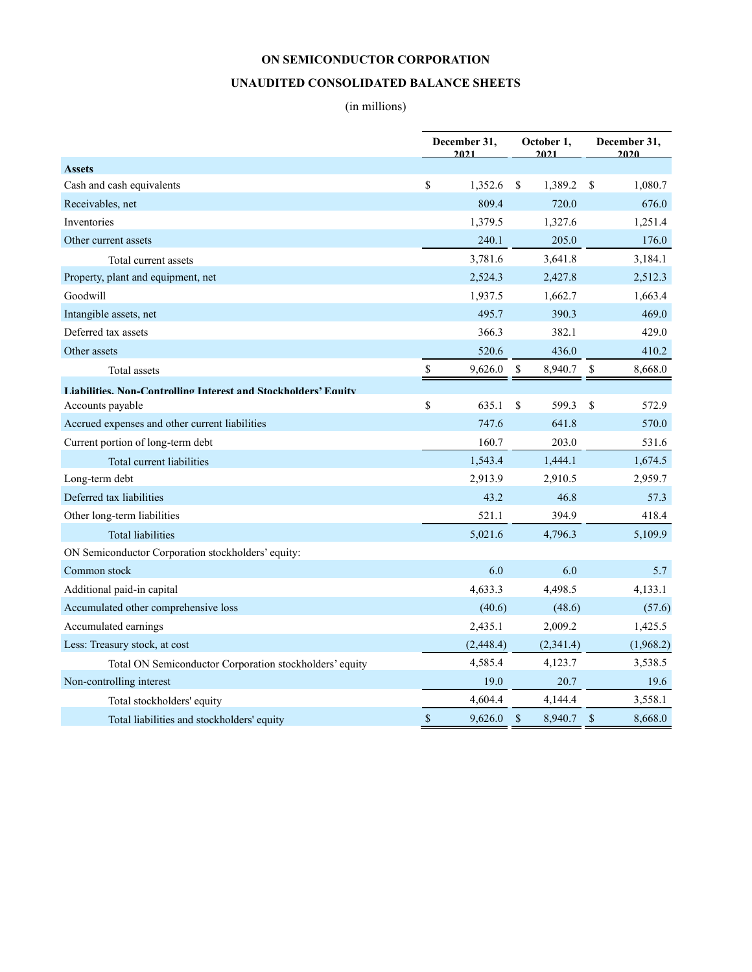### **UNAUDITED CONSOLIDATED BALANCE SHEETS**

## (in millions)

|                                                                       |                           | December 31,<br>2021 |               | October 1,<br>2021 |             | December 31,<br>2020 |  |  |
|-----------------------------------------------------------------------|---------------------------|----------------------|---------------|--------------------|-------------|----------------------|--|--|
| <b>Assets</b>                                                         |                           |                      |               |                    |             |                      |  |  |
| Cash and cash equivalents                                             | \$                        | 1,352.6              | <sup>\$</sup> | 1,389.2            | \$          | 1,080.7              |  |  |
| Receivables, net                                                      |                           | 809.4                |               | 720.0              |             | 676.0                |  |  |
| Inventories                                                           |                           | 1,379.5              |               | 1,327.6            |             | 1,251.4              |  |  |
| Other current assets                                                  |                           | 240.1                |               | 205.0              |             | 176.0                |  |  |
| Total current assets                                                  |                           | 3,781.6              |               | 3,641.8            |             | 3,184.1              |  |  |
| Property, plant and equipment, net                                    |                           | 2,524.3              |               | 2,427.8            |             | 2,512.3              |  |  |
| Goodwill                                                              |                           | 1,937.5              |               | 1,662.7            |             | 1,663.4              |  |  |
| Intangible assets, net                                                |                           | 495.7                |               | 390.3              |             | 469.0                |  |  |
| Deferred tax assets                                                   |                           | 366.3                |               | 382.1              |             | 429.0                |  |  |
| Other assets                                                          |                           | 520.6                |               | 436.0              |             | 410.2                |  |  |
| Total assets                                                          | $\mathbb S$               | 9,626.0              | $\mathbb{S}$  | 8,940.7            | \$          | 8,668.0              |  |  |
| <b>Liabilities. Non-Controlling Interest and Stockholders' Equity</b> |                           |                      |               |                    |             |                      |  |  |
| Accounts payable                                                      | \$                        | 635.1                | \$            | 599.3              | \$          | 572.9                |  |  |
| Accrued expenses and other current liabilities                        |                           | 747.6                |               | 641.8              |             | 570.0                |  |  |
| Current portion of long-term debt                                     |                           | 160.7                |               | 203.0              |             | 531.6                |  |  |
| Total current liabilities                                             |                           | 1,543.4              |               | 1,444.1            |             | 1,674.5              |  |  |
| Long-term debt                                                        |                           | 2,913.9              |               | 2,910.5            |             | 2,959.7              |  |  |
| Deferred tax liabilities                                              |                           | 43.2                 |               | 46.8               |             | 57.3                 |  |  |
| Other long-term liabilities                                           |                           | 521.1                |               | 394.9              |             | 418.4                |  |  |
| <b>Total liabilities</b>                                              |                           | 5,021.6              |               | 4,796.3            |             | 5,109.9              |  |  |
| ON Semiconductor Corporation stockholders' equity:                    |                           |                      |               |                    |             |                      |  |  |
| Common stock                                                          |                           | 6.0                  |               | 6.0                |             | 5.7                  |  |  |
| Additional paid-in capital                                            |                           | 4,633.3              |               | 4,498.5            |             | 4,133.1              |  |  |
| Accumulated other comprehensive loss                                  |                           | (40.6)               |               | (48.6)             |             | (57.6)               |  |  |
| Accumulated earnings                                                  |                           | 2,435.1              |               | 2,009.2            |             | 1,425.5              |  |  |
| Less: Treasury stock, at cost                                         |                           | (2, 448.4)           |               | (2,341.4)          |             | (1,968.2)            |  |  |
| Total ON Semiconductor Corporation stockholders' equity               |                           | 4,585.4              |               | 4,123.7            |             | 3,538.5              |  |  |
| Non-controlling interest                                              |                           | 19.0                 |               | 20.7               |             | 19.6                 |  |  |
| Total stockholders' equity                                            |                           | 4,604.4              |               | 4,144.4            |             | 3,558.1              |  |  |
| Total liabilities and stockholders' equity                            | $\boldsymbol{\mathsf{S}}$ | 9,626.0              | $\sqrt{3}$    | 8,940.7            | $\sqrt{\ }$ | 8,668.0              |  |  |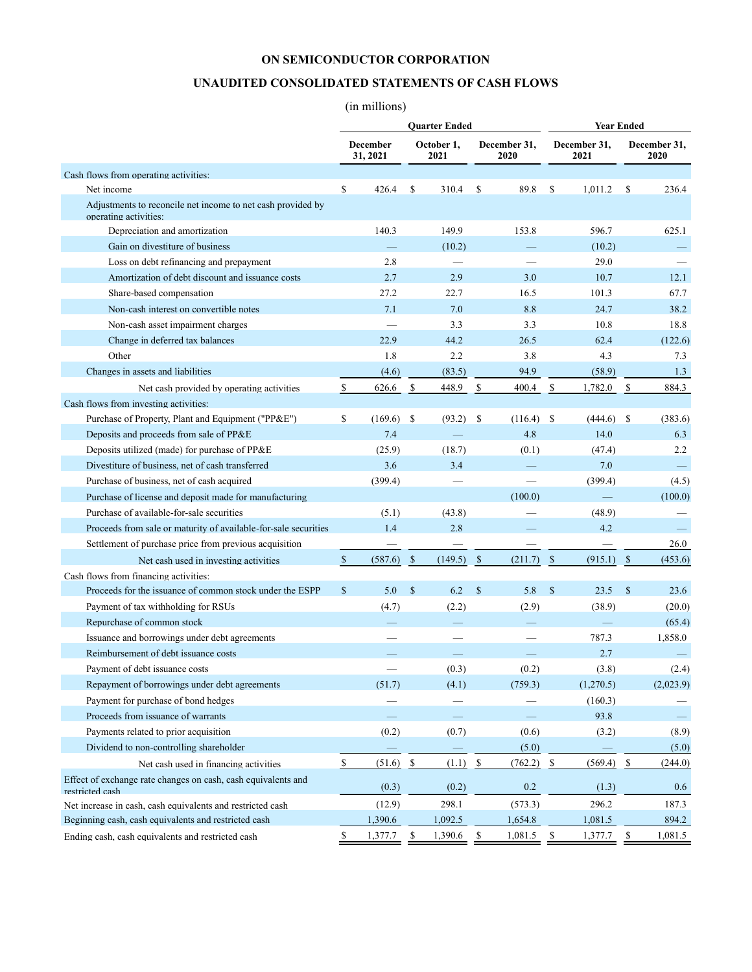### **UNAUDITED CONSOLIDATED STATEMENTS OF CASH FLOWS**

## (in millions)

|                                                                                      | <b>Quarter Ended</b>      |                             |                                   |                    |               |                      |                          |                      | <b>Year Ended</b>       |                      |  |  |
|--------------------------------------------------------------------------------------|---------------------------|-----------------------------|-----------------------------------|--------------------|---------------|----------------------|--------------------------|----------------------|-------------------------|----------------------|--|--|
|                                                                                      |                           | <b>December</b><br>31, 2021 |                                   | October 1,<br>2021 |               | December 31,<br>2020 |                          | December 31,<br>2021 |                         | December 31,<br>2020 |  |  |
| Cash flows from operating activities:                                                |                           |                             |                                   |                    |               |                      |                          |                      |                         |                      |  |  |
| Net income                                                                           | \$                        | 426.4                       | S                                 | 310.4              | \$            | 89.8                 | S                        | 1,011.2              | \$                      | 236.4                |  |  |
| Adjustments to reconcile net income to net cash provided by<br>operating activities: |                           |                             |                                   |                    |               |                      |                          |                      |                         |                      |  |  |
| Depreciation and amortization                                                        |                           | 140.3                       |                                   | 149.9              |               | 153.8                |                          | 596.7                |                         | 625.1                |  |  |
| Gain on divestiture of business                                                      |                           |                             |                                   | (10.2)             |               |                      |                          | (10.2)               |                         |                      |  |  |
| Loss on debt refinancing and prepayment                                              |                           | 2.8                         |                                   |                    |               |                      |                          | 29.0                 |                         |                      |  |  |
| Amortization of debt discount and issuance costs                                     |                           | 2.7                         |                                   | 2.9                |               | 3.0                  |                          | 10.7                 |                         | 12.1                 |  |  |
| Share-based compensation                                                             |                           | 27.2                        |                                   | 22.7               |               | 16.5                 |                          | 101.3                |                         | 67.7                 |  |  |
| Non-cash interest on convertible notes                                               |                           | 7.1                         |                                   | 7.0                |               | 8.8                  |                          | 24.7                 |                         | 38.2                 |  |  |
| Non-cash asset impairment charges                                                    |                           |                             |                                   | 3.3                |               | 3.3                  |                          | 10.8                 |                         | 18.8                 |  |  |
| Change in deferred tax balances                                                      |                           | 22.9                        |                                   | 44.2               |               | 26.5                 |                          | 62.4                 |                         | (122.6)              |  |  |
| Other                                                                                |                           | 1.8                         |                                   | 2.2                |               | 3.8                  |                          | 4.3                  |                         | 7.3                  |  |  |
| Changes in assets and liabilities                                                    |                           | (4.6)                       |                                   | (83.5)             |               | 94.9                 |                          | (58.9)               |                         | 1.3                  |  |  |
| Net cash provided by operating activities                                            | \$                        | 626.6                       | $\mathbb{S}% _{t}\left( t\right)$ | 448.9              | $\mathcal{S}$ | 400.4                | \$                       | 1,782.0              | \$                      | 884.3                |  |  |
| Cash flows from investing activities:                                                |                           |                             |                                   |                    |               |                      |                          |                      |                         |                      |  |  |
| Purchase of Property, Plant and Equipment ("PP&E")                                   | \$                        | $(169.6)$ \$                |                                   | (93.2)             | - S           | (116.4)              | \$                       | (444.6)              | \$                      | (383.6)              |  |  |
| Deposits and proceeds from sale of PP&E                                              |                           | 7.4                         |                                   |                    |               | 4.8                  |                          | 14.0                 |                         | 6.3                  |  |  |
| Deposits utilized (made) for purchase of PP&E                                        |                           | (25.9)                      |                                   | (18.7)             |               | (0.1)                |                          | (47.4)               |                         | 2.2                  |  |  |
| Divestiture of business, net of cash transferred                                     |                           | 3.6                         |                                   | 3.4                |               |                      |                          | 7.0                  |                         |                      |  |  |
| Purchase of business, net of cash acquired                                           |                           | (399.4)                     |                                   |                    |               |                      |                          | (399.4)              |                         | (4.5)                |  |  |
| Purchase of license and deposit made for manufacturing                               |                           |                             |                                   |                    |               | (100.0)              |                          |                      |                         | (100.0)              |  |  |
| Purchase of available-for-sale securities                                            |                           | (5.1)                       |                                   | (43.8)             |               |                      |                          | (48.9)               |                         |                      |  |  |
| Proceeds from sale or maturity of available-for-sale securities                      |                           | 1.4                         |                                   | 2.8                |               |                      |                          | 4.2                  |                         |                      |  |  |
| Settlement of purchase price from previous acquisition                               |                           |                             |                                   |                    |               |                      |                          |                      |                         | 26.0                 |  |  |
| Net cash used in investing activities                                                | \$                        | (587.6)                     | $\mathcal{S}$                     | (149.5)            | $\mathcal{S}$ | (211.7)              | $\mathcal{S}$            | (915.1)              | $\mathbb{S}$            | (453.6)              |  |  |
| Cash flows from financing activities:                                                |                           |                             |                                   |                    |               |                      |                          |                      |                         |                      |  |  |
| Proceeds for the issuance of common stock under the ESPP                             | \$                        | 5.0                         | $\mathcal{S}$                     | 6.2                | $\mathbb{S}$  | 5.8                  | $\mathcal{S}$            | 23.5                 | $\mathcal{S}$           | 23.6                 |  |  |
| Payment of tax withholding for RSUs                                                  |                           | (4.7)                       |                                   | (2.2)              |               | (2.9)                |                          | (38.9)               |                         | (20.0)               |  |  |
| Repurchase of common stock                                                           |                           |                             |                                   |                    |               |                      |                          |                      |                         | (65.4)               |  |  |
| Issuance and borrowings under debt agreements                                        |                           |                             |                                   |                    |               |                      |                          | 787.3                |                         | 1,858.0              |  |  |
| Reimbursement of debt issuance costs                                                 |                           |                             |                                   |                    |               |                      |                          | 2.7                  |                         |                      |  |  |
| Payment of debt issuance costs                                                       |                           |                             |                                   | (0.3)              |               | (0.2)                |                          | (3.8)                |                         | (2.4)                |  |  |
| Repayment of borrowings under debt agreements                                        |                           | (51.7)                      |                                   | (4.1)              |               | (759.3)              |                          | (1,270.5)            |                         | (2,023.9)            |  |  |
| Payment for purchase of bond hedges                                                  |                           |                             |                                   |                    |               |                      |                          | (160.3)              |                         |                      |  |  |
| Proceeds from issuance of warrants                                                   |                           |                             |                                   |                    |               |                      |                          | 93.8                 |                         |                      |  |  |
| Payments related to prior acquisition                                                |                           | (0.2)                       |                                   | (0.7)              |               | (0.6)                |                          | (3.2)                |                         | (8.9)                |  |  |
| Dividend to non-controlling shareholder                                              |                           |                             |                                   |                    |               | (5.0)                |                          |                      |                         | (5.0)                |  |  |
| Net cash used in financing activities                                                | $\boldsymbol{\mathsf{S}}$ | (51.6)                      | $\overline{\mathbf{r}}$           | (1.1)              | $\frac{1}{2}$ | (762.2)              | $\overline{\mathcal{E}}$ | (569.4)              | $\overline{\mathbf{r}}$ | (244.0)              |  |  |
| Effect of exchange rate changes on cash, cash equivalents and<br>restricted cash     |                           | (0.3)                       |                                   | (0.2)              |               | 0.2                  |                          | (1.3)                |                         | 0.6                  |  |  |
| Net increase in cash, cash equivalents and restricted cash                           |                           | (12.9)                      |                                   | 298.1              |               | (573.3)              |                          | 296.2                |                         | 187.3                |  |  |
| Beginning cash, cash equivalents and restricted cash                                 |                           | 1,390.6                     |                                   | 1,092.5            |               | 1,654.8              |                          | 1,081.5              |                         | 894.2                |  |  |
| Ending cash, cash equivalents and restricted cash                                    | \$                        | 1,377.7                     | \$                                | 1,390.6            | \$            | 1,081.5              | \$                       | 1,377.7              | \$                      | 1,081.5              |  |  |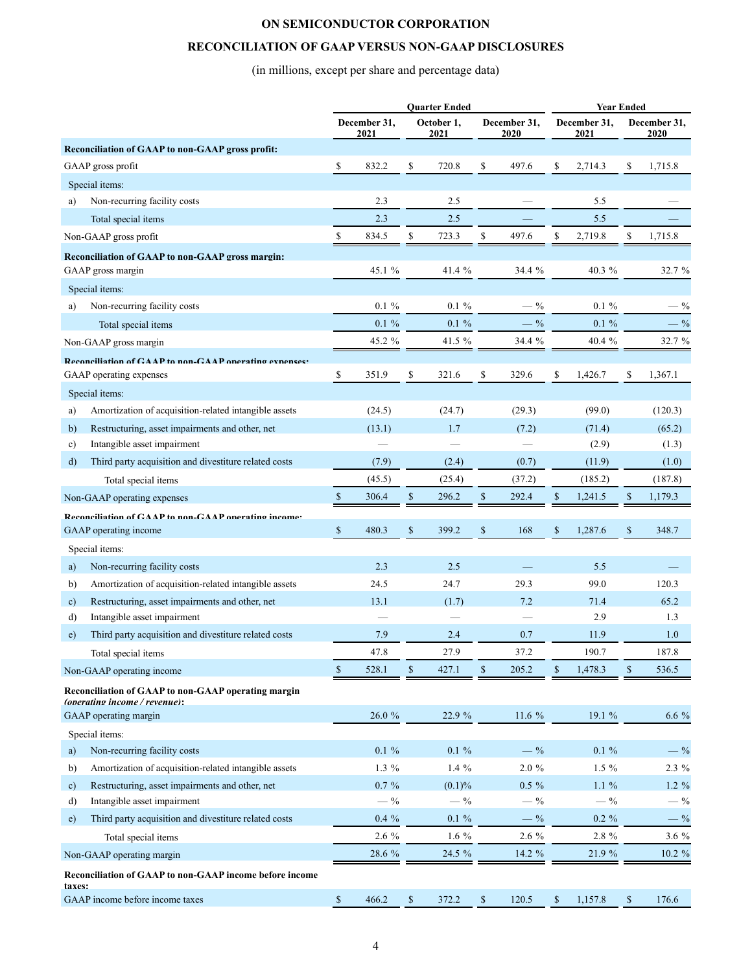### **RECONCILIATION OF GAAP VERSUS NON-GAAP DISCLOSURES**

(in millions, except per share and percentage data)

|              |                                                                                      | <b>Quarter Ended</b> |                      |              |                    |      |                      | <b>Year Ended</b> |                      |              |                      |  |
|--------------|--------------------------------------------------------------------------------------|----------------------|----------------------|--------------|--------------------|------|----------------------|-------------------|----------------------|--------------|----------------------|--|
|              |                                                                                      |                      | December 31,<br>2021 |              | October 1,<br>2021 |      | December 31,<br>2020 |                   | December 31,<br>2021 |              | December 31,<br>2020 |  |
|              | Reconciliation of GAAP to non-GAAP gross profit:                                     |                      |                      |              |                    |      |                      |                   |                      |              |                      |  |
|              | GAAP gross profit                                                                    | \$                   | 832.2                | \$           | 720.8              | \$   | 497.6                | \$                | 2,714.3              | \$           | 1,715.8              |  |
|              | Special items:                                                                       |                      |                      |              |                    |      |                      |                   |                      |              |                      |  |
| a)           | Non-recurring facility costs                                                         |                      | 2.3                  |              | 2.5                |      |                      |                   | 5.5                  |              |                      |  |
|              | Total special items                                                                  |                      | 2.3                  |              | 2.5                |      |                      |                   | 5.5                  |              |                      |  |
|              | Non-GAAP gross profit                                                                | \$                   | 834.5                | \$           | 723.3              | \$   | 497.6                | \$                | 2,719.8              | \$           | 1,715.8              |  |
|              | <b>Reconciliation of GAAP to non-GAAP gross margin:</b>                              |                      |                      |              |                    |      |                      |                   |                      |              |                      |  |
|              | GAAP gross margin                                                                    |                      | 45.1 %               |              | 41.4 %             |      | 34.4 %               |                   | 40.3 %               |              | 32.7 %               |  |
|              | Special items:                                                                       |                      |                      |              |                    |      |                      |                   |                      |              |                      |  |
| a)           | Non-recurring facility costs                                                         |                      | $0.1 \%$             |              | $0.1 \%$           |      | $-$ %                |                   | $0.1 \%$             |              | $-$ %                |  |
|              | Total special items                                                                  |                      | $0.1 \%$             |              | $0.1 \%$           |      | $-$ %                |                   | $0.1 \%$             |              | $-$ %                |  |
|              | Non-GAAP gross margin                                                                |                      | 45.2 %               |              | 41.5 %             |      | 34.4 %               |                   | 40.4 %               |              | 32.7 %               |  |
|              | Reconciliation of CAAP to non-CAAP operating expenses                                |                      |                      |              |                    |      |                      |                   |                      |              |                      |  |
|              | GAAP operating expenses                                                              | \$                   | 351.9                | \$           | 321.6              | \$   | 329.6                | \$                | 1,426.7              | \$           | 1,367.1              |  |
|              | Special items:                                                                       |                      |                      |              |                    |      |                      |                   |                      |              |                      |  |
| a)           | Amortization of acquisition-related intangible assets                                |                      | (24.5)               |              | (24.7)             |      | (29.3)               |                   | (99.0)               |              | (120.3)              |  |
| b)           | Restructuring, asset impairments and other, net                                      |                      | (13.1)               |              | 1.7                |      | (7.2)                |                   | (71.4)               |              | (65.2)               |  |
| c)           | Intangible asset impairment                                                          |                      |                      |              |                    |      |                      |                   | (2.9)                |              | (1.3)                |  |
| d)           | Third party acquisition and divestiture related costs                                |                      | (7.9)                |              | (2.4)              |      | (0.7)                |                   | (11.9)               |              | (1.0)                |  |
|              | Total special items                                                                  |                      | (45.5)               |              | (25.4)             |      | (37.2)               |                   | (185.2)              |              | (187.8)              |  |
|              | Non-GAAP operating expenses                                                          | $\mathbb{S}$         | 306.4                | $\mathbb{S}$ | 296.2              | $\$$ | 292.4                | $\$$              | 1,241.5              | \$           | 1,179.3              |  |
|              | Reconciliation of CAAP to non-CAAP onerating income:                                 |                      |                      |              |                    |      |                      |                   |                      |              |                      |  |
|              | GAAP operating income                                                                | $\mathbb{S}$         | 480.3                | $\mathbb{S}$ | 399.2              | $\$$ | 168                  | \$                | 1,287.6              | $\mathbb{S}$ | 348.7                |  |
|              | Special items:                                                                       |                      |                      |              |                    |      |                      |                   |                      |              |                      |  |
| a)           | Non-recurring facility costs                                                         |                      | 2.3                  |              | 2.5                |      |                      |                   | 5.5                  |              |                      |  |
| b)           | Amortization of acquisition-related intangible assets                                |                      | 24.5                 |              | 24.7               |      | 29.3                 |                   | 99.0                 |              | 120.3                |  |
| $\mathbf{c}$ | Restructuring, asset impairments and other, net                                      |                      | 13.1                 |              | (1.7)              |      | 7.2                  |                   | 71.4                 |              | 65.2                 |  |
| d)           | Intangible asset impairment                                                          |                      |                      |              |                    |      |                      |                   | 2.9                  |              | 1.3                  |  |
| $\epsilon$ ) | Third party acquisition and divestiture related costs                                |                      | 7.9                  |              | 2.4                |      | 0.7                  |                   | 11.9                 |              | 1.0                  |  |
|              | Total special items                                                                  |                      | 47.8                 |              | 27.9               |      | 37.2                 |                   | 190.7                |              | 187.8                |  |
|              | Non-GAAP operating income                                                            | $\$$                 | 528.1                | $\mathbb{S}$ | 427.1              | $\$$ | 205.2                | $\mathbb{S}$      | 1,478.3              | \$           | 536.5                |  |
|              | Reconciliation of GAAP to non-GAAP operating margin<br>(operating income / revenue): |                      |                      |              |                    |      |                      |                   |                      |              |                      |  |
|              | GAAP operating margin                                                                |                      | 26.0 %               |              | 22.9 %             |      | 11.6 %               |                   | 19.1 %               |              | 6.6 %                |  |
|              | Special items:                                                                       |                      |                      |              |                    |      |                      |                   |                      |              |                      |  |
| a)           | Non-recurring facility costs                                                         |                      | $0.1 \%$             |              | $0.1\ \%$          |      | $ \%$                |                   | $0.1\ \%$            |              | $-$ %                |  |
| b)           | Amortization of acquisition-related intangible assets                                |                      | 1.3 %                |              | $1.4\%$            |      | $2.0 \%$             |                   | 1.5 %                |              | $2.3\%$              |  |
| c)           | Restructuring, asset impairments and other, net                                      |                      | $0.7~\%$             |              | (0.1)%             |      | $0.5 \%$             |                   | $1.1\%$              |              | $1.2 \%$             |  |
| d)           | Intangible asset impairment                                                          |                      | $-$ %                |              | $-$ %              |      | $-$ %                |                   | $-$ %                |              | $-$ %                |  |
| e)           | Third party acquisition and divestiture related costs                                |                      | $0.4~\%$             |              | $0.1 \%$           |      | $-$ %                |                   | $0.2 \%$             |              | $-$ %                |  |
|              | Total special items                                                                  |                      | 2.6 %                |              | $1.6\%$            |      | 2.6 %                |                   | 2.8 %                |              | 3.6 %                |  |
|              | Non-GAAP operating margin                                                            |                      | 28.6 %               |              | 24.5 %             |      | 14.2 %               |                   | 21.9 %               |              | $10.2~\%$            |  |
| taxes:       | Reconciliation of GAAP to non-GAAP income before income                              |                      |                      |              |                    |      |                      |                   |                      |              |                      |  |
|              | GAAP income before income taxes                                                      | \$                   | 466.2                | $\$$         | 372.2              | \$   | 120.5                | \$                | 1,157.8              | \$           | 176.6                |  |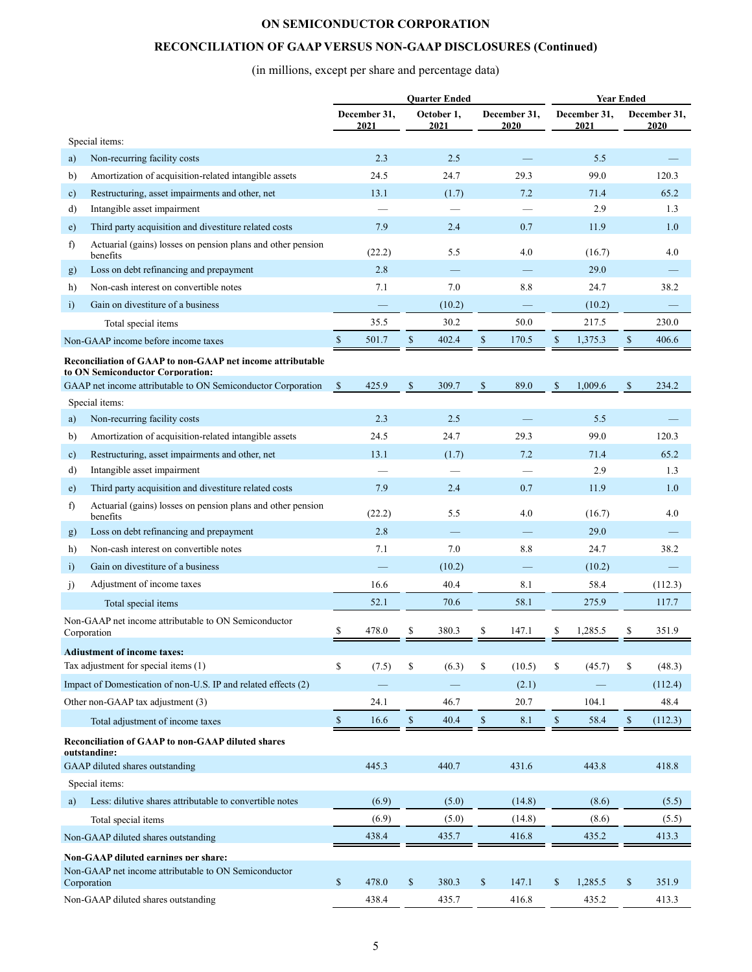### **RECONCILIATION OF GAAP VERSUS NON-GAAP DISCLOSURES (Continued)**

# (in millions, except per share and percentage data)

|               |                                                                            |               |                      |              | <b>Quarter Ended</b> |               |                      |              |                      | <b>Year Ended</b> |                      |
|---------------|----------------------------------------------------------------------------|---------------|----------------------|--------------|----------------------|---------------|----------------------|--------------|----------------------|-------------------|----------------------|
|               |                                                                            |               | December 31.<br>2021 |              | October 1,<br>2021   |               | December 31,<br>2020 |              | December 31,<br>2021 |                   | December 31,<br>2020 |
|               | Special items:                                                             |               |                      |              |                      |               |                      |              |                      |                   |                      |
| a)            | Non-recurring facility costs                                               |               | 2.3                  |              | 2.5                  |               |                      |              | 5.5                  |                   |                      |
| b)            | Amortization of acquisition-related intangible assets                      |               | 24.5                 |              | 24.7                 |               | 29.3                 |              | 99.0                 |                   | 120.3                |
| $\mathbf{c})$ | Restructuring, asset impairments and other, net                            |               | 13.1                 |              | (1.7)                |               | 7.2                  |              | 71.4                 |                   | 65.2                 |
| d)            | Intangible asset impairment                                                |               |                      |              |                      |               |                      |              | 2.9                  |                   | 1.3                  |
| e)            | Third party acquisition and divestiture related costs                      |               | 7.9                  |              | 2.4                  |               | 0.7                  |              | 11.9                 |                   | 1.0                  |
| f)            | Actuarial (gains) losses on pension plans and other pension<br>benefits    |               | (22.2)               |              | 5.5                  |               | 4.0                  |              | (16.7)               |                   | 4.0                  |
| g)            | Loss on debt refinancing and prepayment                                    |               | 2.8                  |              |                      |               |                      |              | 29.0                 |                   |                      |
| h)            | Non-cash interest on convertible notes                                     |               | 7.1                  |              | 7.0                  |               | 8.8                  |              | 24.7                 |                   | 38.2                 |
| $\ddot{i}$    | Gain on divestiture of a business                                          |               |                      |              | (10.2)               |               |                      |              | (10.2)               |                   |                      |
|               | Total special items                                                        |               | 35.5                 |              | 30.2                 |               | 50.0                 |              | 217.5                |                   | 230.0                |
|               | Non-GAAP income before income taxes                                        | $\mathbb{S}$  | 501.7                | \$           | 402.4                | $\$$          | 170.5                | \$           | 1,375.3              | \$                | 406.6                |
|               | Reconciliation of GAAP to non-GAAP net income attributable                 |               |                      |              |                      |               |                      |              |                      |                   |                      |
|               | to ON Semiconductor Corporation:                                           |               |                      |              |                      |               |                      |              |                      |                   |                      |
|               | GAAP net income attributable to ON Semiconductor Corporation               | <sup>\$</sup> | 425.9                | $\mathbb{S}$ | 309.7                | $\mathcal{S}$ | 89.0                 | $\mathbf S$  | 1.009.6              | <sup>\$</sup>     | 234.2                |
|               | Special items:                                                             |               |                      |              |                      |               |                      |              |                      |                   |                      |
| a)            | Non-recurring facility costs                                               |               | 2.3                  |              | 2.5                  |               |                      |              | 5.5                  |                   |                      |
| b)            | Amortization of acquisition-related intangible assets                      |               | 24.5                 |              | 24.7                 |               | 29.3                 |              | 99.0                 |                   | 120.3                |
| c)            | Restructuring, asset impairments and other, net                            |               | 13.1                 |              | (1.7)                |               | 7.2                  |              | 71.4                 |                   | 65.2                 |
| d)            | Intangible asset impairment                                                |               |                      |              |                      |               |                      |              | 2.9                  |                   | 1.3                  |
| e)            | Third party acquisition and divestiture related costs                      |               | 7.9                  |              | 2.4                  |               | 0.7                  |              | 11.9                 |                   | 1.0                  |
| f)            | Actuarial (gains) losses on pension plans and other pension<br>benefits    |               | (22.2)               |              | 5.5                  |               | 4.0                  |              | (16.7)               |                   | 4.0                  |
| g)            | Loss on debt refinancing and prepayment                                    |               | 2.8                  |              |                      |               |                      |              | 29.0                 |                   |                      |
| h)            | Non-cash interest on convertible notes                                     |               | 7.1                  |              | 7.0                  |               | 8.8                  |              | 24.7                 |                   | 38.2                 |
| $\ddot{1}$    | Gain on divestiture of a business                                          |               |                      |              | (10.2)               |               |                      |              | (10.2)               |                   |                      |
| j)            | Adjustment of income taxes                                                 |               | 16.6                 |              | 40.4                 |               | 8.1                  |              | 58.4                 |                   | (112.3)              |
|               | Total special items                                                        |               | 52.1                 |              | 70.6                 |               | 58.1                 |              | 275.9                |                   | 117.7                |
|               | Non-GAAP net income attributable to ON Semiconductor<br>Corporation        | \$            | 478.0                | S            | 380.3                | \$            | 147.1                | S            | 1,285.5              |                   | 351.9                |
|               |                                                                            |               |                      |              |                      |               |                      |              |                      |                   |                      |
|               | <b>Adiustment of income taxes:</b><br>Tax adjustment for special items (1) | \$            | (7.5)                | \$           | (6.3)                | \$            | (10.5)               | \$           | (45.7)               | \$                | (48.3)               |
|               | Impact of Domestication of non-U.S. IP and related effects (2)             |               |                      |              |                      |               | (2.1)                |              |                      |                   | (112.4)              |
|               |                                                                            |               |                      |              |                      |               |                      |              |                      |                   | 48.4                 |
|               | Other non-GAAP tax adjustment (3)                                          |               | 24.1                 |              | 46.7                 |               | 20.7                 |              | 104.1                |                   |                      |
|               | Total adjustment of income taxes                                           | $\mathbb{S}$  | 16.6                 | $\mathbb{S}$ | 40.4                 | $\mathbb{S}$  | 8.1                  | $\mathbb{S}$ | 58.4                 | \$                | (112.3)              |
|               | <b>Reconciliation of GAAP to non-GAAP diluted shares</b><br>outstanding:   |               |                      |              |                      |               |                      |              |                      |                   |                      |
|               | GAAP diluted shares outstanding                                            |               | 445.3                |              | 440.7                |               | 431.6                |              | 443.8                |                   | 418.8                |
|               | Special items:                                                             |               |                      |              |                      |               |                      |              |                      |                   |                      |
| a)            | Less: dilutive shares attributable to convertible notes                    |               | (6.9)                |              | (5.0)                |               | (14.8)               |              | (8.6)                |                   | (5.5)                |
|               | Total special items                                                        |               | (6.9)                |              | (5.0)                |               | (14.8)               |              | (8.6)                |                   | (5.5)                |
|               | Non-GAAP diluted shares outstanding                                        |               | 438.4                |              | 435.7                |               | 416.8                |              | 435.2                |                   | 413.3                |
|               | <b>Non-GAAP diluted earnings per share:</b>                                |               |                      |              |                      |               |                      |              |                      |                   |                      |
|               | Non-GAAP net income attributable to ON Semiconductor                       |               |                      |              |                      |               |                      |              |                      |                   |                      |
|               | Corporation                                                                | \$            | 478.0                | $\mathbb{S}$ | 380.3                | \$            | 147.1                | \$           | 1,285.5              | \$                | 351.9                |
|               | Non-GAAP diluted shares outstanding                                        |               | 438.4                |              | 435.7                |               | 416.8                |              | 435.2                |                   | 413.3                |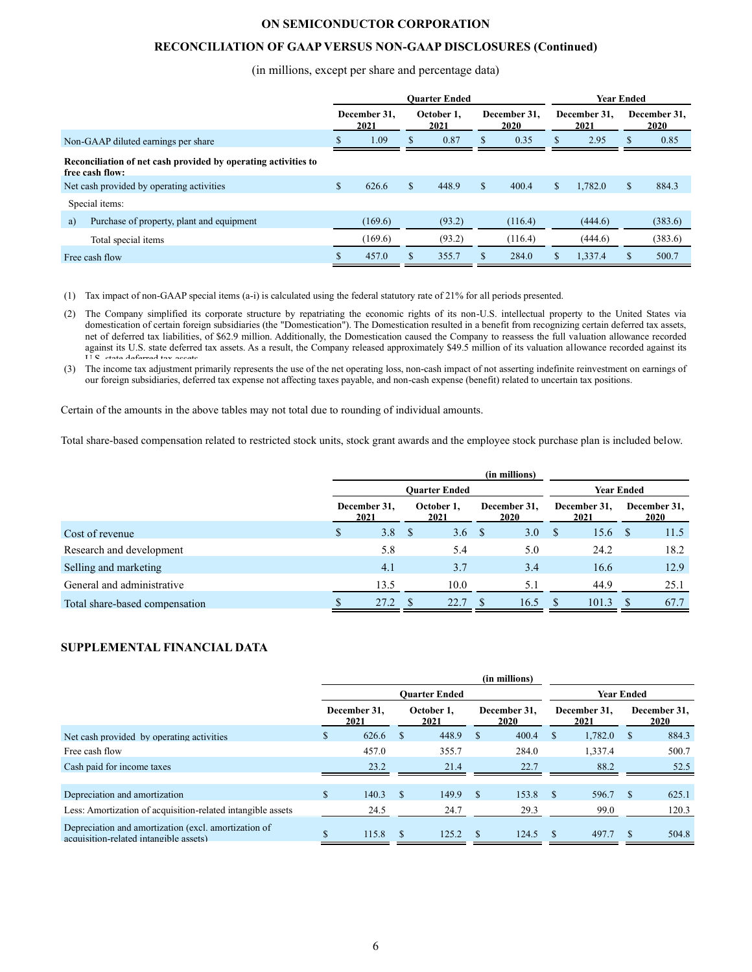### **RECONCILIATION OF GAAP VERSUS NON-GAAP DISCLOSURES (Continued)**

#### (in millions, except per share and percentage data)

|                                                                                   |                      |         |                    | <b>Ouarter Ended</b> |                      | <b>Year Ended</b> |                      |         |                      |         |
|-----------------------------------------------------------------------------------|----------------------|---------|--------------------|----------------------|----------------------|-------------------|----------------------|---------|----------------------|---------|
|                                                                                   | December 31,<br>2021 |         | October 1.<br>2021 |                      | December 31.<br>2020 |                   | December 31.<br>2021 |         | December 31,<br>2020 |         |
| Non-GAAP diluted earnings per share                                               |                      | 1.09    | \$.                | 0.87                 | \$                   | 0.35              | S.                   | 2.95    | S                    | 0.85    |
| Reconciliation of net cash provided by operating activities to<br>free cash flow: |                      |         |                    |                      |                      |                   |                      |         |                      |         |
| Net cash provided by operating activities                                         | \$.                  | 626.6   | S                  | 448.9                | \$                   | 400.4             | \$                   | 1,782.0 | \$                   | 884.3   |
| Special items:                                                                    |                      |         |                    |                      |                      |                   |                      |         |                      |         |
| Purchase of property, plant and equipment<br>a)                                   |                      | (169.6) |                    | (93.2)               |                      | (116.4)           |                      | (444.6) |                      | (383.6) |
| Total special items                                                               |                      | (169.6) |                    | (93.2)               |                      | (116.4)           |                      | (444.6) |                      | (383.6) |
| Free cash flow                                                                    |                      | 457.0   |                    | 355.7                |                      | 284.0             | S                    | 1.337.4 |                      | 500.7   |

(1) Tax impact of non-GAAP special items (a-i) is calculated using the federal statutory rate of 21% for all periods presented.

(2) The Company simplified its corporate structure by repatriating the economic rights of its non-U.S. intellectual property to the United States via domestication of certain foreign subsidiaries (the "Domestication"). The Domestication resulted in a benefit from recognizing certain deferred tax assets, net of deferred tax liabilities, of \$62.9 million. Additionally, the Domestication caused the Company to reassess the full valuation allowance recorded against its U.S. state deferred tax assets. As a result, the Company released approximately \$49.5 million of its valuation allowance recorded against its  $\overline{U}$  $\overline{C}$  atata deferred tax

(3) The income tax adjustment primarily represents the use of the net operating loss, non-cash impact of not asserting indefinite reinvestment on earnings of our foreign subsidiaries, deferred tax expense not affecting taxes payable, and non-cash expense (benefit) related to uncertain tax positions.

Certain of the amounts in the above tables may not total due to rounding of individual amounts.

Total share-based compensation related to restricted stock units, stock grant awards and the employee stock purchase plan is included below.

|                                |                      |      |                    |                      |                      | (in millions)     |                      |       |                      |      |
|--------------------------------|----------------------|------|--------------------|----------------------|----------------------|-------------------|----------------------|-------|----------------------|------|
|                                |                      |      |                    | <b>Ouarter Ended</b> |                      | <b>Year Ended</b> |                      |       |                      |      |
|                                | December 31,<br>2021 |      | October 1.<br>2021 |                      | December 31.<br>2020 |                   | December 31,<br>2021 |       | December 31,<br>2020 |      |
| Cost of revenue                | S                    | 3.8  | -S                 | 3.6 <sup>8</sup>     |                      | 3.0               | S                    | 15.6  |                      | 11.5 |
| Research and development       |                      | 5.8  |                    | 5.4                  |                      | 5.0               |                      | 24.2  |                      | 18.2 |
| Selling and marketing          |                      | 4.1  |                    | 3.7                  |                      | 3.4               |                      | 16.6  |                      | 12.9 |
| General and administrative     |                      | 13.5 |                    | 10.0                 |                      | 5.1               |                      | 44.9  |                      | 25.1 |
| Total share-based compensation |                      | 27.2 |                    | 22.7                 | £.                   | 16.5              |                      | 101.3 | -8                   | 67.7 |

### **SUPPLEMENTAL FINANCIAL DATA**

|                                                                                                |                      |       |                    |                      |                             | (in millions) |                      |         |              |                             |
|------------------------------------------------------------------------------------------------|----------------------|-------|--------------------|----------------------|-----------------------------|---------------|----------------------|---------|--------------|-----------------------------|
|                                                                                                |                      |       |                    | <b>Ouarter Ended</b> | Year Ended                  |               |                      |         |              |                             |
|                                                                                                | December 31.<br>2021 |       | October 1.<br>2021 |                      | December 31.<br><b>2020</b> |               | December 31.<br>2021 |         |              | December 31,<br><b>2020</b> |
| Net cash provided by operating activities                                                      |                      | 626.6 | - \$               | 448.9                | <sup>\$</sup>               | 400.4         |                      | 1,782.0 | <sup>S</sup> | 884.3                       |
| Free cash flow                                                                                 |                      | 457.0 |                    | 355.7                |                             | 284.0         |                      | 1,337.4 |              | 500.7                       |
| Cash paid for income taxes                                                                     |                      | 23.2  |                    | 21.4                 |                             | 22.7          |                      | 88.2    |              | 52.5                        |
|                                                                                                |                      |       |                    |                      |                             |               |                      |         |              |                             |
| Depreciation and amortization                                                                  | \$.                  | 140.3 | \$.                | 149.9                |                             | 153.8         | -S                   | 596.7   |              | 625.1                       |
| Less: Amortization of acquisition-related intangible assets                                    |                      | 24.5  |                    | 24.7                 |                             | 29.3          |                      | 99.0    |              | 120.3                       |
| Depreciation and amortization (excl. amortization of<br>acquisition-related intangible assets) |                      | 115.8 | $\mathcal{S}$      | 125.2                |                             | 124.5         | - \$                 | 497.7   |              | 504.8                       |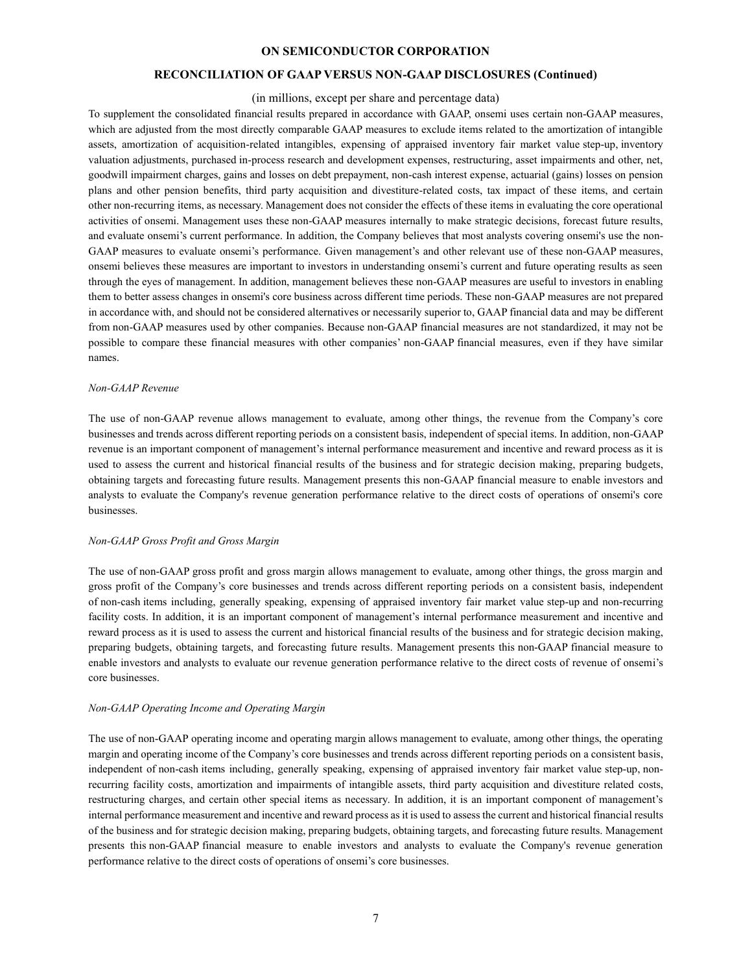### **RECONCILIATION OF GAAP VERSUS NON-GAAP DISCLOSURES (Continued)**

#### (in millions, except per share and percentage data)

To supplement the consolidated financial results prepared in accordance with GAAP, onsemi uses certain non-GAAP measures, which are adjusted from the most directly comparable GAAP measures to exclude items related to the amortization of intangible assets, amortization of acquisition-related intangibles, expensing of appraised inventory fair market value step-up, inventory valuation adjustments, purchased in-process research and development expenses, restructuring, asset impairments and other, net, goodwill impairment charges, gains and losses on debt prepayment, non-cash interest expense, actuarial (gains) losses on pension plans and other pension benefits, third party acquisition and divestiture-related costs, tax impact of these items, and certain other non-recurring items, as necessary. Management does not consider the effects of these items in evaluating the core operational activities of onsemi. Management uses these non-GAAP measures internally to make strategic decisions, forecast future results, and evaluate onsemi's current performance. In addition, the Company believes that most analysts covering onsemi's use the non-GAAP measures to evaluate onsemi's performance. Given management's and other relevant use of these non-GAAP measures, onsemi believes these measures are important to investors in understanding onsemi's current and future operating results as seen through the eyes of management. In addition, management believes these non-GAAP measures are useful to investors in enabling them to better assess changes in onsemi's core business across different time periods. These non-GAAP measures are not prepared in accordance with, and should not be considered alternatives or necessarily superior to, GAAP financial data and may be different from non-GAAP measures used by other companies. Because non-GAAP financial measures are not standardized, it may not be possible to compare these financial measures with other companies' non-GAAP financial measures, even if they have similar names.

#### *Non-GAAP Revenue*

The use of non-GAAP revenue allows management to evaluate, among other things, the revenue from the Company's core businesses and trends across different reporting periods on a consistent basis, independent of special items. In addition, non-GAAP revenue is an important component of management's internal performance measurement and incentive and reward process as it is used to assess the current and historical financial results of the business and for strategic decision making, preparing budgets, obtaining targets and forecasting future results. Management presents this non-GAAP financial measure to enable investors and analysts to evaluate the Company's revenue generation performance relative to the direct costs of operations of onsemi's core businesses.

#### *Non-GAAP Gross Profit and Gross Margin*

The use of non-GAAP gross profit and gross margin allows management to evaluate, among other things, the gross margin and gross profit of the Company's core businesses and trends across different reporting periods on a consistent basis, independent of non-cash items including, generally speaking, expensing of appraised inventory fair market value step-up and non-recurring facility costs. In addition, it is an important component of management's internal performance measurement and incentive and reward process as it is used to assess the current and historical financial results of the business and for strategic decision making, preparing budgets, obtaining targets, and forecasting future results. Management presents this non-GAAP financial measure to enable investors and analysts to evaluate our revenue generation performance relative to the direct costs of revenue of onsemi's core businesses.

#### *Non-GAAP Operating Income and Operating Margin*

The use of non-GAAP operating income and operating margin allows management to evaluate, among other things, the operating margin and operating income of the Company's core businesses and trends across different reporting periods on a consistent basis, independent of non-cash items including, generally speaking, expensing of appraised inventory fair market value step-up, nonrecurring facility costs, amortization and impairments of intangible assets, third party acquisition and divestiture related costs, restructuring charges, and certain other special items as necessary. In addition, it is an important component of management's internal performance measurement and incentive and reward process as it is used to assess the current and historical financial results of the business and for strategic decision making, preparing budgets, obtaining targets, and forecasting future results. Management presents this non-GAAP financial measure to enable investors and analysts to evaluate the Company's revenue generation performance relative to the direct costs of operations of onsemi's core businesses.